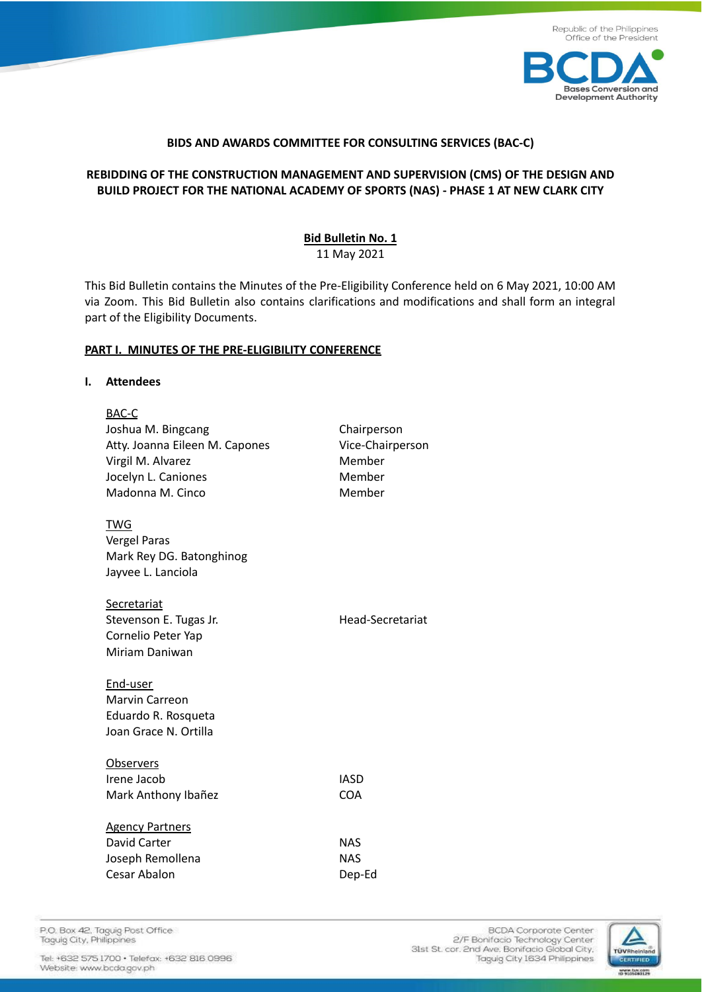



# **BIDS AND AWARDS COMMITTEE FOR CONSULTING SERVICES (BAC-C)**

# **REBIDDING OF THE CONSTRUCTION MANAGEMENT AND SUPERVISION (CMS) OF THE DESIGN AND BUILD PROJECT FOR THE NATIONAL ACADEMY OF SPORTS (NAS) - PHASE 1 AT NEW CLARK CITY**

**Bid Bulletin No. 1** 11 May 2021

This Bid Bulletin contains the Minutes of the Pre-Eligibility Conference held on 6 May 2021, 10:00 AM via Zoom. This Bid Bulletin also contains clarifications and modifications and shall form an integral part of the Eligibility Documents.

#### **PART I. MINUTES OF THE PRE-ELIGIBILITY CONFERENCE**

## **I. Attendees**

| BAC-C<br>Joshua M. Bingcang<br>Atty. Joanna Eileen M. Capones<br>Virgil M. Alvarez<br>Jocelyn L. Caniones<br>Madonna M. Cinco | Chairperson<br>Vice-Chairperson<br>Member<br>Member<br>Member |
|-------------------------------------------------------------------------------------------------------------------------------|---------------------------------------------------------------|
| TWG<br><b>Vergel Paras</b><br>Mark Rey DG. Batonghinog<br>Jayvee L. Lanciola                                                  |                                                               |
| <u>Secretariat</u><br>Stevenson E. Tugas Jr.<br>Cornelio Peter Yap<br>Miriam Daniwan                                          | Head-Secretariat                                              |
| End-user<br><b>Marvin Carreon</b><br>Eduardo R. Rosqueta<br>Joan Grace N. Ortilla                                             |                                                               |
| <b>Observers</b><br>Irene Jacob<br>Mark Anthony Ibañez                                                                        | <b>IASD</b><br><b>COA</b>                                     |
| <b>Agency Partners</b><br>David Carter<br>Joseph Remollena<br>Cesar Abalon                                                    | <b>NAS</b><br><b>NAS</b><br>Dep-Ed                            |

P.O. Box 42. Taguig Post Office Taguig City, Philippines

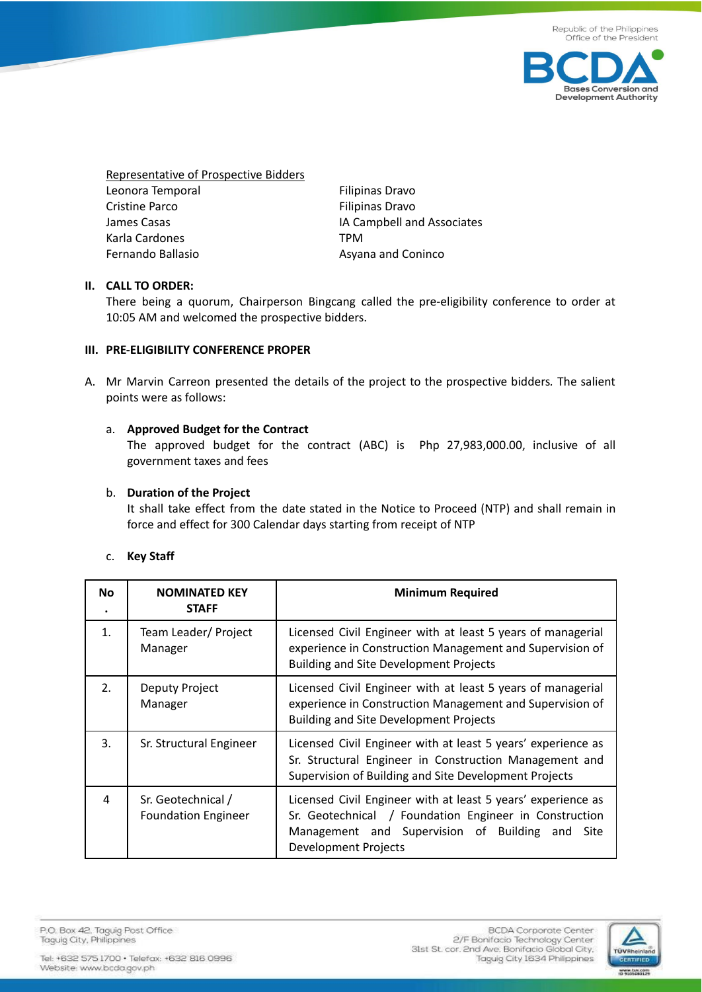

Representative of Prospective Bidders Leonora Temporal **Executes Filipinas Dravo** Cristine Parco **Filipinas Dravo** James Casas **IA Campbell and Associates** Karla Cardones TPM Fernando Ballasio **Asyana and Coninco Asyana and Coninco** 

## **II. CALL TO ORDER:**

There being a quorum, Chairperson Bingcang called the pre-eligibility conference to order at 10:05 AM and welcomed the prospective bidders.

## **III. PRE-ELIGIBILITY CONFERENCE PROPER**

A. Mr Marvin Carreon presented the details of the project to the prospective bidders*.* The salient points were as follows:

# a. **Approved Budget for the Contract**

The approved budget for the contract (ABC) is Php 27,983,000.00, inclusive of all government taxes and fees

## b. **Duration of the Project**

It shall take effect from the date stated in the Notice to Proceed (NTP) and shall remain in force and effect for 300 Calendar days starting from receipt of NTP

# c. **Key Staff**

| <b>No</b>      | <b>NOMINATED KEY</b><br><b>STAFF</b>             | <b>Minimum Required</b>                                                                                                                                                                                     |
|----------------|--------------------------------------------------|-------------------------------------------------------------------------------------------------------------------------------------------------------------------------------------------------------------|
| $\mathbf{1}$ . | Team Leader/ Project<br>Manager                  | Licensed Civil Engineer with at least 5 years of managerial<br>experience in Construction Management and Supervision of<br><b>Building and Site Development Projects</b>                                    |
| 2.             | Deputy Project<br>Manager                        | Licensed Civil Engineer with at least 5 years of managerial<br>experience in Construction Management and Supervision of<br><b>Building and Site Development Projects</b>                                    |
| 3.             | Sr. Structural Engineer                          | Licensed Civil Engineer with at least 5 years' experience as<br>Sr. Structural Engineer in Construction Management and<br>Supervision of Building and Site Development Projects                             |
| 4              | Sr. Geotechnical /<br><b>Foundation Engineer</b> | Licensed Civil Engineer with at least 5 years' experience as<br>Sr. Geotechnical / Foundation Engineer in Construction<br>Management and Supervision of Building and<br>Site<br><b>Development Projects</b> |

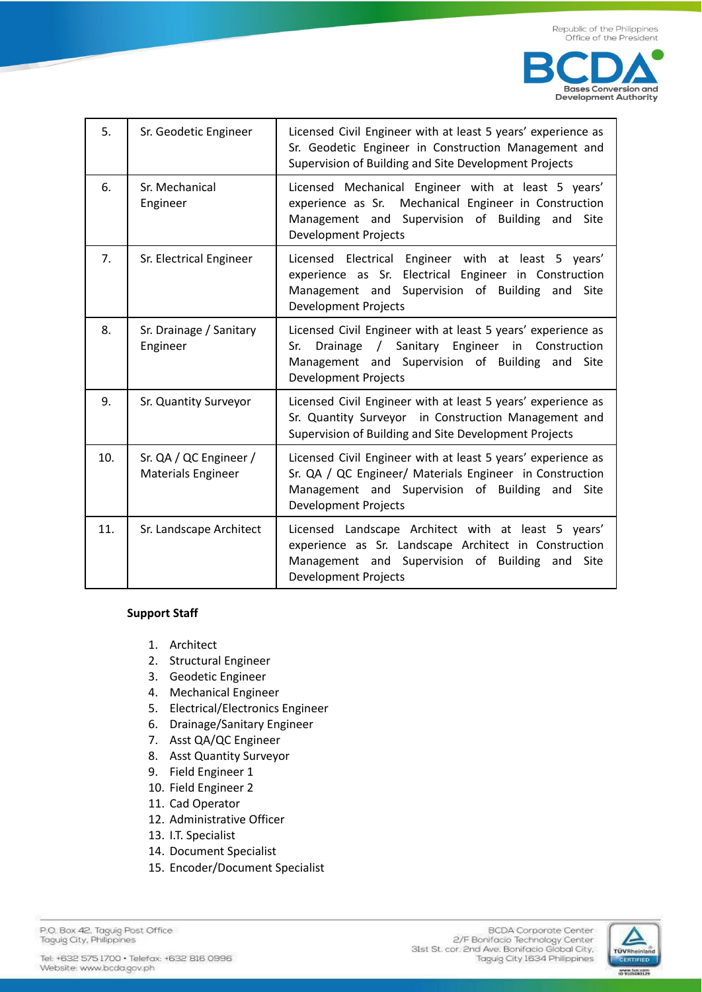

| 5.  | Sr. Geodetic Engineer                               | Licensed Civil Engineer with at least 5 years' experience as<br>Sr. Geodetic Engineer in Construction Management and<br>Supervision of Building and Site Development Projects                              |
|-----|-----------------------------------------------------|------------------------------------------------------------------------------------------------------------------------------------------------------------------------------------------------------------|
| 6.  | Sr. Mechanical<br>Engineer                          | Licensed Mechanical Engineer with at least 5 years'<br>Mechanical Engineer in Construction<br>experience as Sr.<br>Management and Supervision of Building and Site<br><b>Development Projects</b>          |
| 7.  | Sr. Electrical Engineer                             | Licensed Electrical Engineer with at least 5 years'<br>experience as Sr. Electrical Engineer in Construction<br>Management and Supervision of Building and Site<br><b>Development Projects</b>             |
| 8.  | Sr. Drainage / Sanitary<br>Engineer                 | Licensed Civil Engineer with at least 5 years' experience as<br>Sanitary Engineer in Construction<br>Sr.<br>Drainage $/$<br>Management and Supervision of Building and Site<br><b>Development Projects</b> |
| 9.  | Sr. Quantity Surveyor                               | Licensed Civil Engineer with at least 5 years' experience as<br>Sr. Quantity Surveyor in Construction Management and<br>Supervision of Building and Site Development Projects                              |
| 10. | Sr. QA / QC Engineer /<br><b>Materials Engineer</b> | Licensed Civil Engineer with at least 5 years' experience as<br>Sr. QA / QC Engineer/ Materials Engineer in Construction<br>Management and Supervision of Building and Site<br><b>Development Projects</b> |
| 11. | Sr. Landscape Architect                             | Licensed Landscape Architect with at least 5 years'<br>experience as Sr. Landscape Architect in Construction<br>Management and Supervision of Building<br>and Site<br><b>Development Projects</b>          |

# **Support Staff**

- 1. Architect
- 2. Structural Engineer
- 3. Geodetic Engineer
- 4. Mechanical Engineer
- 5. Electrical/Electronics Engineer
- 6. Drainage/Sanitary Engineer
- 7. Asst QA/QC Engineer
- 8. Asst Quantity Surveyor
- 9. Field Engineer 1
- 10. Field Engineer 2
- 11. Cad Operator
- 12. Administrative Officer
- 13. I.T. Specialist
- 14. Document Specialist
- 15. Encoder/Document Specialist

P.O. Box 42, Taguig Post Office<br>Taguig City, Philippines

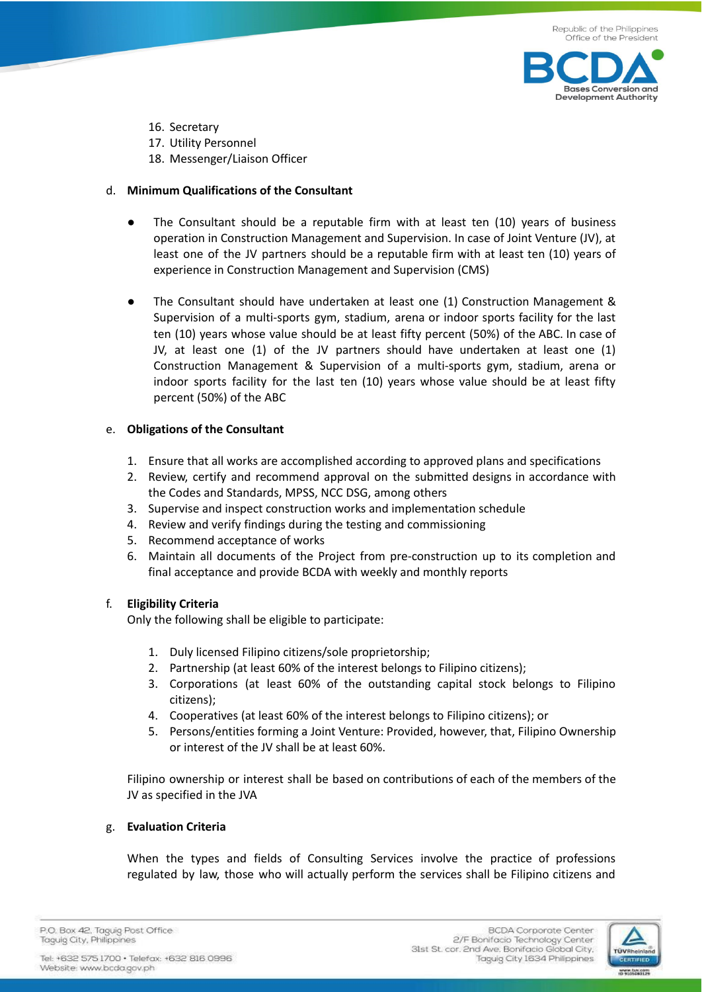

- 16. Secretary
- 17. Utility Personnel
- 18. Messenger/Liaison Officer

# d. **Minimum Qualifications of the Consultant**

- The Consultant should be a reputable firm with at least ten (10) years of business operation in Construction Management and Supervision. In case of Joint Venture (JV), at least one of the JV partners should be a reputable firm with at least ten (10) years of experience in Construction Management and Supervision (CMS)
- The Consultant should have undertaken at least one (1) Construction Management & Supervision of a multi-sports gym, stadium, arena or indoor sports facility for the last ten (10) years whose value should be at least fifty percent (50%) of the ABC. In case of JV, at least one (1) of the JV partners should have undertaken at least one (1) Construction Management & Supervision of a multi-sports gym, stadium, arena or indoor sports facility for the last ten (10) years whose value should be at least fifty percent (50%) of the ABC

# e. **Obligations of the Consultant**

- 1. Ensure that all works are accomplished according to approved plans and specifications
- 2. Review, certify and recommend approval on the submitted designs in accordance with the Codes and Standards, MPSS, NCC DSG, among others
- 3. Supervise and inspect construction works and implementation schedule
- 4. Review and verify findings during the testing and commissioning
- 5. Recommend acceptance of works
- 6. Maintain all documents of the Project from pre-construction up to its completion and final acceptance and provide BCDA with weekly and monthly reports

# f. **Eligibility Criteria**

Only the following shall be eligible to participate:

- 1. Duly licensed Filipino citizens/sole proprietorship;
- 2. Partnership (at least 60% of the interest belongs to Filipino citizens);
- 3. Corporations (at least 60% of the outstanding capital stock belongs to Filipino citizens);
- 4. Cooperatives (at least 60% of the interest belongs to Filipino citizens); or
- 5. Persons/entities forming a Joint Venture: Provided, however, that, Filipino Ownership or interest of the JV shall be at least 60%.

Filipino ownership or interest shall be based on contributions of each of the members of the JV as specified in the JVA

# g. **Evaluation Criteria**

When the types and fields of Consulting Services involve the practice of professions regulated by law, those who will actually perform the services shall be Filipino citizens and

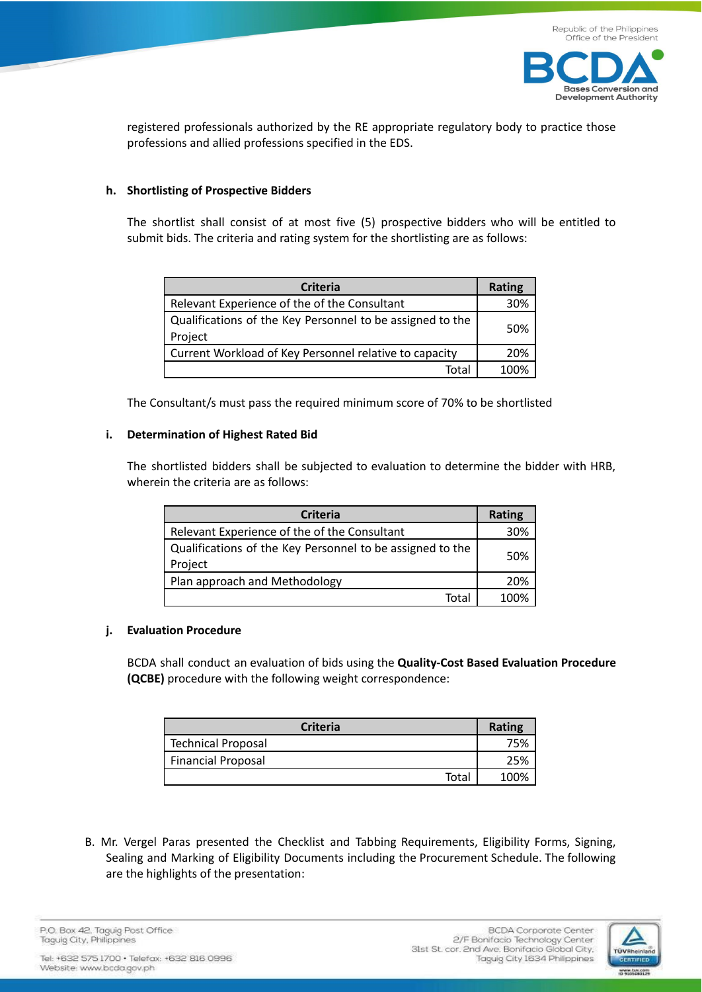

registered professionals authorized by the RE appropriate regulatory body to practice those professions and allied professions specified in the EDS.

# **h. Shortlisting of Prospective Bidders**

The shortlist shall consist of at most five (5) prospective bidders who will be entitled to submit bids. The criteria and rating system for the shortlisting are as follows:

| <b>Criteria</b>                                                      | Rating |
|----------------------------------------------------------------------|--------|
| Relevant Experience of the of the Consultant                         | 30%    |
| Qualifications of the Key Personnel to be assigned to the<br>Project | 50%    |
| Current Workload of Key Personnel relative to capacity               | 20%    |
| Total                                                                | 100%   |

The Consultant/s must pass the required minimum score of 70% to be shortlisted

# **i. Determination of Highest Rated Bid**

The shortlisted bidders shall be subjected to evaluation to determine the bidder with HRB, wherein the criteria are as follows:

| <b>Criteria</b>                                                      | Rating |
|----------------------------------------------------------------------|--------|
| Relevant Experience of the of the Consultant                         | 30%    |
| Qualifications of the Key Personnel to be assigned to the<br>Project | 50%    |
| Plan approach and Methodology                                        | 20%    |
| Total                                                                | 100%   |

# **j. Evaluation Procedure**

BCDA shall conduct an evaluation of bids using the **Quality-Cost Based Evaluation Procedure (QCBE)** procedure with the following weight correspondence:

| <b>Criteria</b>           | <b>Rating</b> |
|---------------------------|---------------|
| <b>Technical Proposal</b> | 75%           |
| <b>Financial Proposal</b> | 25%           |
| Tota.                     | 100%          |

B. Mr. Vergel Paras presented the Checklist and Tabbing Requirements, Eligibility Forms, Signing, Sealing and Marking of Eligibility Documents including the Procurement Schedule. The following are the highlights of the presentation:



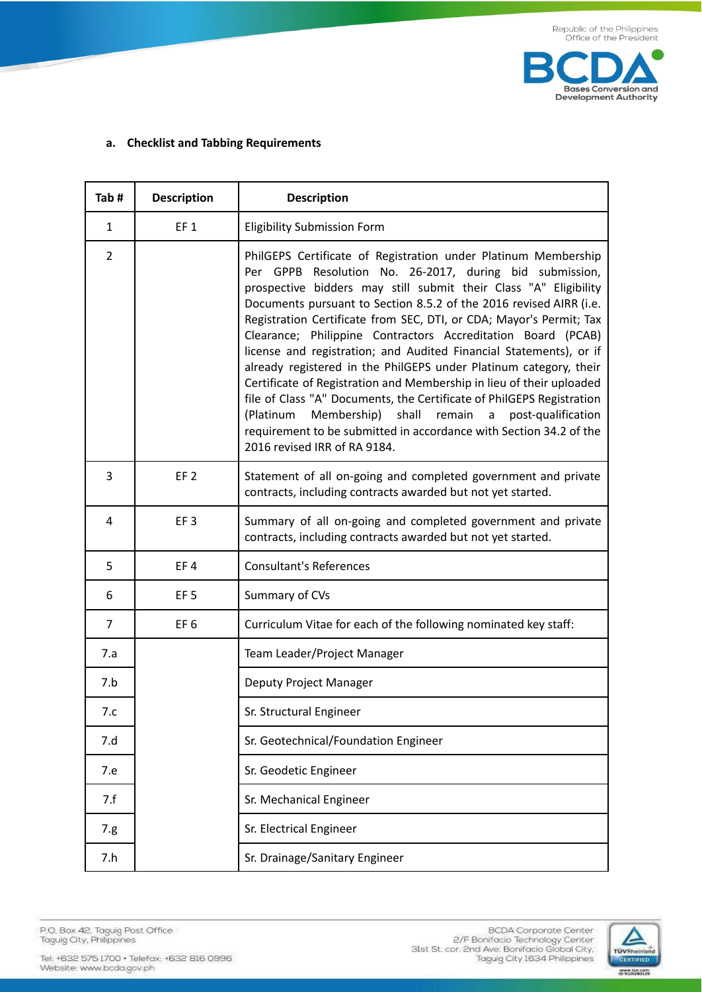

#### **Checklist and Tabbing Requirements** а.

| Tab#           | <b>Description</b> | <b>Description</b>                                                                                                                                                                                                                                                                                                                                                                                                                                                                                                                                                                                                                                                                                                                                                                                                                                                      |  |
|----------------|--------------------|-------------------------------------------------------------------------------------------------------------------------------------------------------------------------------------------------------------------------------------------------------------------------------------------------------------------------------------------------------------------------------------------------------------------------------------------------------------------------------------------------------------------------------------------------------------------------------------------------------------------------------------------------------------------------------------------------------------------------------------------------------------------------------------------------------------------------------------------------------------------------|--|
| 1              | EF <sub>1</sub>    | <b>Eligibility Submission Form</b>                                                                                                                                                                                                                                                                                                                                                                                                                                                                                                                                                                                                                                                                                                                                                                                                                                      |  |
| $\overline{2}$ |                    | PhilGEPS Certificate of Registration under Platinum Membership<br>Per GPPB Resolution No. 26-2017, during bid submission,<br>prospective bidders may still submit their Class "A" Eligibility<br>Documents pursuant to Section 8.5.2 of the 2016 revised AIRR (i.e.<br>Registration Certificate from SEC, DTI, or CDA; Mayor's Permit; Tax<br>Clearance; Philippine Contractors Accreditation Board (PCAB)<br>license and registration; and Audited Financial Statements), or if<br>already registered in the PhilGEPS under Platinum category, their<br>Certificate of Registration and Membership in lieu of their uploaded<br>file of Class "A" Documents, the Certificate of PhilGEPS Registration<br>(Platinum Membership) shall remain a post-qualification<br>requirement to be submitted in accordance with Section 34.2 of the<br>2016 revised IRR of RA 9184. |  |
| 3              | EF <sub>2</sub>    | Statement of all on-going and completed government and private<br>contracts, including contracts awarded but not yet started.                                                                                                                                                                                                                                                                                                                                                                                                                                                                                                                                                                                                                                                                                                                                           |  |
| 4              | EF <sub>3</sub>    | Summary of all on-going and completed government and private<br>contracts, including contracts awarded but not yet started.                                                                                                                                                                                                                                                                                                                                                                                                                                                                                                                                                                                                                                                                                                                                             |  |
| 5              | EF4                | <b>Consultant's References</b>                                                                                                                                                                                                                                                                                                                                                                                                                                                                                                                                                                                                                                                                                                                                                                                                                                          |  |
| 6              | EF <sub>5</sub>    | Summary of CVs                                                                                                                                                                                                                                                                                                                                                                                                                                                                                                                                                                                                                                                                                                                                                                                                                                                          |  |
| 7              | EF <sub>6</sub>    | Curriculum Vitae for each of the following nominated key staff:                                                                                                                                                                                                                                                                                                                                                                                                                                                                                                                                                                                                                                                                                                                                                                                                         |  |
| 7.a            |                    | Team Leader/Project Manager                                                                                                                                                                                                                                                                                                                                                                                                                                                                                                                                                                                                                                                                                                                                                                                                                                             |  |
| 7.b            |                    | Deputy Project Manager                                                                                                                                                                                                                                                                                                                                                                                                                                                                                                                                                                                                                                                                                                                                                                                                                                                  |  |
| 7.c            |                    | Sr. Structural Engineer                                                                                                                                                                                                                                                                                                                                                                                                                                                                                                                                                                                                                                                                                                                                                                                                                                                 |  |
| 7.d            |                    | Sr. Geotechnical/Foundation Engineer                                                                                                                                                                                                                                                                                                                                                                                                                                                                                                                                                                                                                                                                                                                                                                                                                                    |  |
| 7.e            |                    | Sr. Geodetic Engineer                                                                                                                                                                                                                                                                                                                                                                                                                                                                                                                                                                                                                                                                                                                                                                                                                                                   |  |
| 7.f            |                    | Sr. Mechanical Engineer                                                                                                                                                                                                                                                                                                                                                                                                                                                                                                                                                                                                                                                                                                                                                                                                                                                 |  |
| 7.g.           |                    | Sr. Electrical Engineer                                                                                                                                                                                                                                                                                                                                                                                                                                                                                                                                                                                                                                                                                                                                                                                                                                                 |  |
| 7.h            |                    | Sr. Drainage/Sanitary Engineer                                                                                                                                                                                                                                                                                                                                                                                                                                                                                                                                                                                                                                                                                                                                                                                                                                          |  |

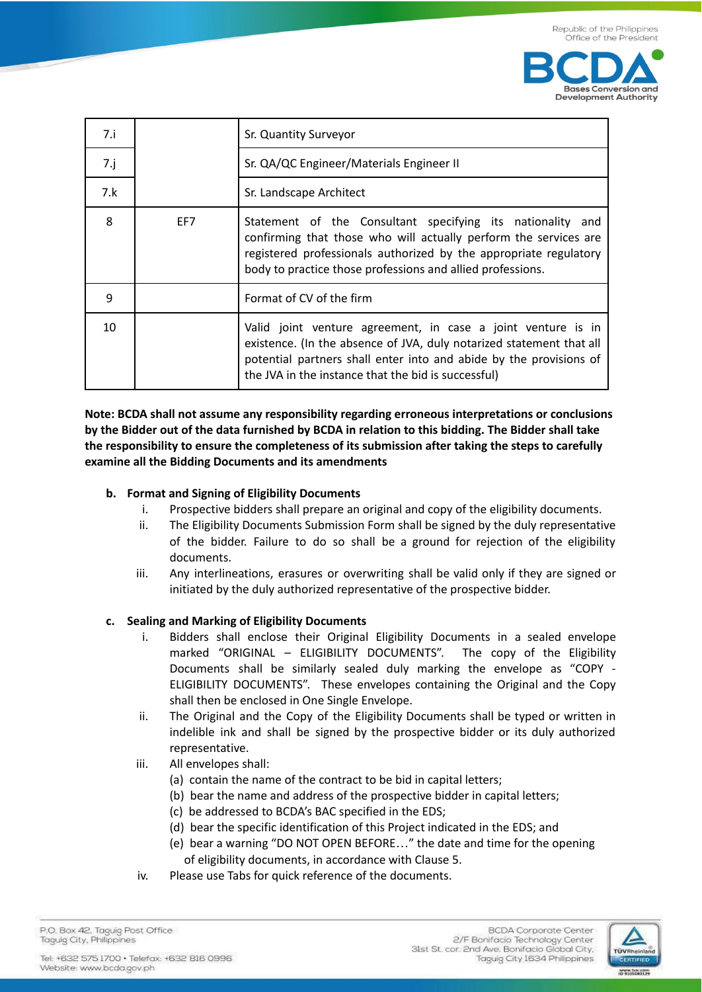

| 7.i  |     | Sr. Quantity Surveyor                                                                                                                                                                                                                                                |
|------|-----|----------------------------------------------------------------------------------------------------------------------------------------------------------------------------------------------------------------------------------------------------------------------|
| 7. j |     | Sr. QA/QC Engineer/Materials Engineer II                                                                                                                                                                                                                             |
| 7.k  |     | Sr. Landscape Architect                                                                                                                                                                                                                                              |
| 8    | EF7 | Statement of the Consultant specifying its nationality<br>and<br>confirming that those who will actually perform the services are<br>registered professionals authorized by the appropriate regulatory<br>body to practice those professions and allied professions. |
| 9    |     | Format of CV of the firm                                                                                                                                                                                                                                             |
| 10   |     | Valid joint venture agreement, in case a joint venture is in<br>existence. (In the absence of JVA, duly notarized statement that all<br>potential partners shall enter into and abide by the provisions of<br>the JVA in the instance that the bid is successful)    |

**Note: BCDA shall not assume any responsibility regarding erroneous interpretations or conclusions** by the Bidder out of the data furnished by BCDA in relation to this bidding. The Bidder shall take **the responsibility to ensure the completeness of its submission after taking the steps to carefully examine all the Bidding Documents and its amendments**

# **b. Format and Signing of Eligibility Documents**

- i. Prospective bidders shall prepare an original and copy of the eligibility documents.
- ii. The Eligibility Documents Submission Form shall be signed by the duly representative of the bidder. Failure to do so shall be a ground for rejection of the eligibility documents.
- iii. Any interlineations, erasures or overwriting shall be valid only if they are signed or initiated by the duly authorized representative of the prospective bidder.

# **c. Sealing and Marking of Eligibility Documents**

- i. Bidders shall enclose their Original Eligibility Documents in a sealed envelope marked "ORIGINAL – ELIGIBILITY DOCUMENTS". The copy of the Eligibility Documents shall be similarly sealed duly marking the envelope as "COPY - ELIGIBILITY DOCUMENTS". These envelopes containing the Original and the Copy shall then be enclosed in One Single Envelope.
- ii. The Original and the Copy of the Eligibility Documents shall be typed or written in indelible ink and shall be signed by the prospective bidder or its duly authorized representative.
- iii. All envelopes shall:
	- (a) contain the name of the contract to be bid in capital letters;
	- (b) bear the name and address of the prospective bidder in capital letters;
	- (c) be addressed to BCDA's BAC specified in the EDS;
	- (d) bear the specific identification of this Project indicated in the EDS; and
	- (e) bear a warning "DO NOT OPEN BEFORE…" the date and time for the opening of eligibility documents, in accordance with Clause 5.
- iv. Please use Tabs for quick reference of the documents.

P.O. Box 42. Taguig Post Office Taguig City, Philippines

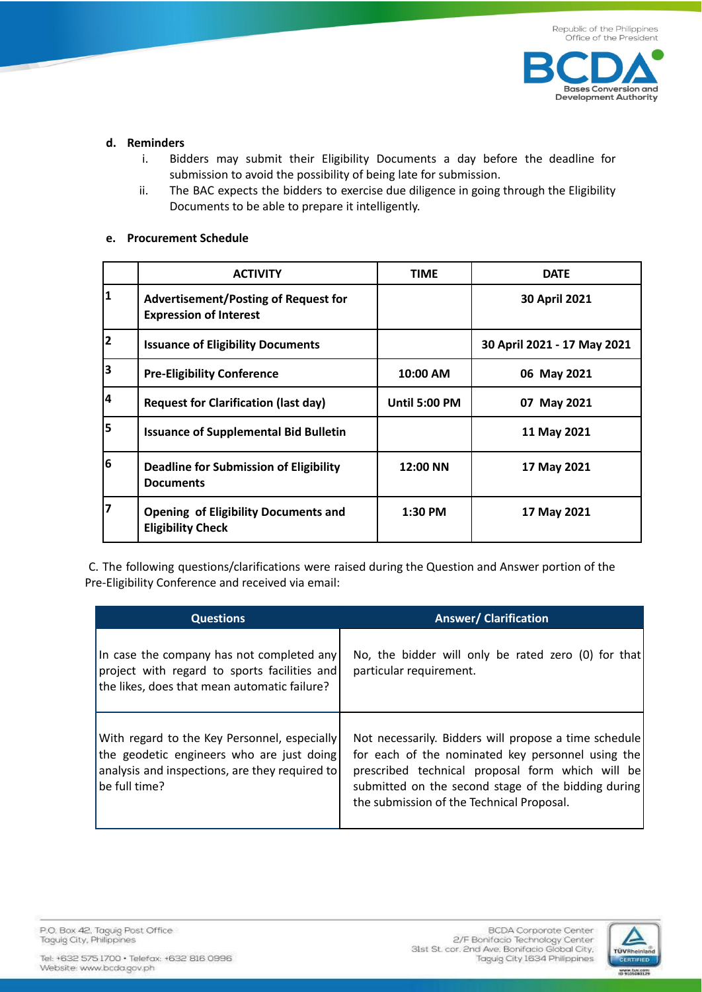

## **d. Reminders**

- i. Bidders may submit their Eligibility Documents a day before the deadline for submission to avoid the possibility of being late for submission.
- ii. The BAC expects the bidders to exercise due diligence in going through the Eligibility Documents to be able to prepare it intelligently.

## **e. Procurement Schedule**

|                         | <b>ACTIVITY</b>                                                              | <b>TIME</b>          | <b>DATE</b>                 |
|-------------------------|------------------------------------------------------------------------------|----------------------|-----------------------------|
| 1                       | <b>Advertisement/Posting of Request for</b><br><b>Expression of Interest</b> |                      | 30 April 2021               |
| $\overline{\mathbf{2}}$ | <b>Issuance of Eligibility Documents</b>                                     |                      | 30 April 2021 - 17 May 2021 |
| 3                       | <b>Pre-Eligibility Conference</b>                                            | 10:00 AM             | 06 May 2021                 |
| 14                      | <b>Request for Clarification (last day)</b>                                  | <b>Until 5:00 PM</b> | 07 May 2021                 |
| 5                       | <b>Issuance of Supplemental Bid Bulletin</b>                                 |                      | 11 May 2021                 |
| 6                       | <b>Deadline for Submission of Eligibility</b><br><b>Documents</b>            | 12:00 NN             | 17 May 2021                 |
| 7                       | <b>Opening of Eligibility Documents and</b><br><b>Eligibility Check</b>      | 1:30 PM              | 17 May 2021                 |

C. The following questions/clarifications were raised during the Question and Answer portion of the Pre-Eligibility Conference and received via email:

| <b>Questions</b>                                                                                                                                             | <b>Answer/ Clarification</b>                                                                                                                                                                                                                                       |
|--------------------------------------------------------------------------------------------------------------------------------------------------------------|--------------------------------------------------------------------------------------------------------------------------------------------------------------------------------------------------------------------------------------------------------------------|
| In case the company has not completed any<br>project with regard to sports facilities and<br>the likes, does that mean automatic failure?                    | No, the bidder will only be rated zero (0) for that<br>particular requirement.                                                                                                                                                                                     |
| With regard to the Key Personnel, especially<br>the geodetic engineers who are just doing<br>analysis and inspections, are they required to<br>be full time? | Not necessarily. Bidders will propose a time schedule<br>for each of the nominated key personnel using the<br>prescribed technical proposal form which will be<br>submitted on the second stage of the bidding during<br>the submission of the Technical Proposal. |

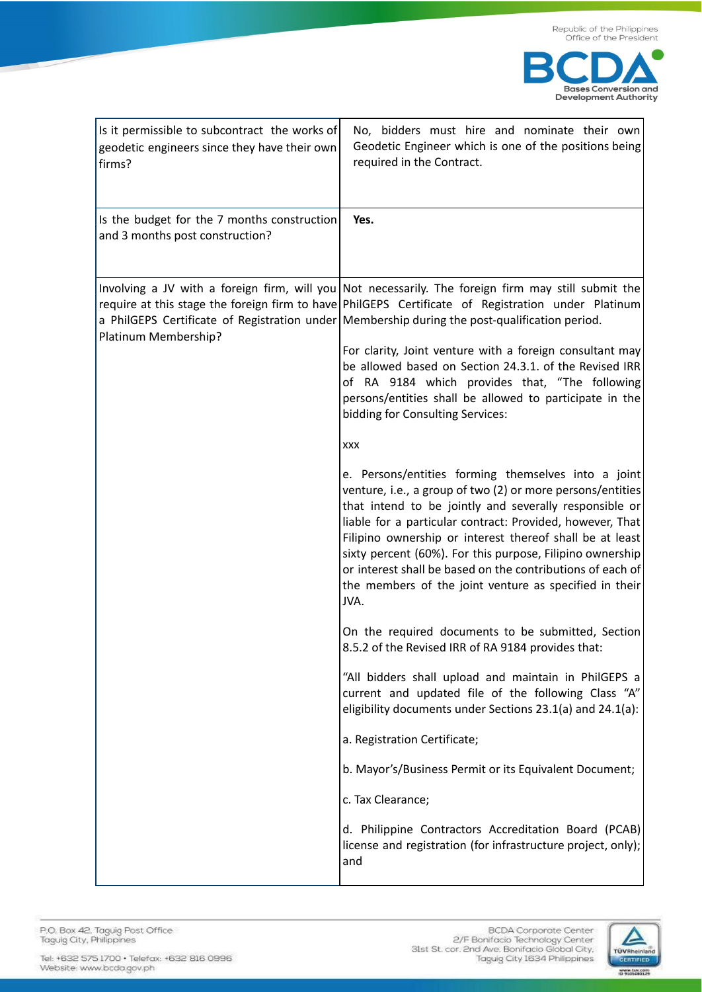

| Is it permissible to subcontract the works of<br>geodetic engineers since they have their own<br>firms? | No, bidders must hire and nominate their own<br>Geodetic Engineer which is one of the positions being<br>required in the Contract.                                                                                                                                                                                                                                                                                                                                                                |
|---------------------------------------------------------------------------------------------------------|---------------------------------------------------------------------------------------------------------------------------------------------------------------------------------------------------------------------------------------------------------------------------------------------------------------------------------------------------------------------------------------------------------------------------------------------------------------------------------------------------|
| Is the budget for the 7 months construction<br>and 3 months post construction?                          | Yes.                                                                                                                                                                                                                                                                                                                                                                                                                                                                                              |
| Platinum Membership?                                                                                    | Involving a JV with a foreign firm, will you Not necessarily. The foreign firm may still submit the<br>require at this stage the foreign firm to have PhilGEPS Certificate of Registration under Platinum<br>a PhilGEPS Certificate of Registration under   Membership during the post-qualification period.                                                                                                                                                                                      |
|                                                                                                         | For clarity, Joint venture with a foreign consultant may<br>be allowed based on Section 24.3.1. of the Revised IRR<br>of RA 9184 which provides that, "The following<br>persons/entities shall be allowed to participate in the<br>bidding for Consulting Services:                                                                                                                                                                                                                               |
|                                                                                                         | XXX                                                                                                                                                                                                                                                                                                                                                                                                                                                                                               |
|                                                                                                         | e. Persons/entities forming themselves into a joint<br>venture, i.e., a group of two (2) or more persons/entities<br>that intend to be jointly and severally responsible or<br>liable for a particular contract: Provided, however, That<br>Filipino ownership or interest thereof shall be at least<br>sixty percent (60%). For this purpose, Filipino ownership<br>or interest shall be based on the contributions of each of<br>the members of the joint venture as specified in their<br>JVA. |
|                                                                                                         | On the required documents to be submitted, Section<br>8.5.2 of the Revised IRR of RA 9184 provides that:                                                                                                                                                                                                                                                                                                                                                                                          |
|                                                                                                         | "All bidders shall upload and maintain in PhilGEPS a<br>current and updated file of the following Class "A"<br>eligibility documents under Sections 23.1(a) and 24.1(a):                                                                                                                                                                                                                                                                                                                          |
|                                                                                                         | a. Registration Certificate;                                                                                                                                                                                                                                                                                                                                                                                                                                                                      |
|                                                                                                         | b. Mayor's/Business Permit or its Equivalent Document;                                                                                                                                                                                                                                                                                                                                                                                                                                            |
|                                                                                                         | c. Tax Clearance;                                                                                                                                                                                                                                                                                                                                                                                                                                                                                 |
|                                                                                                         | d. Philippine Contractors Accreditation Board (PCAB)<br>license and registration (for infrastructure project, only);<br>and                                                                                                                                                                                                                                                                                                                                                                       |

P.O. Box 42, Taguig Post Office<br>Taguig City, Philippines

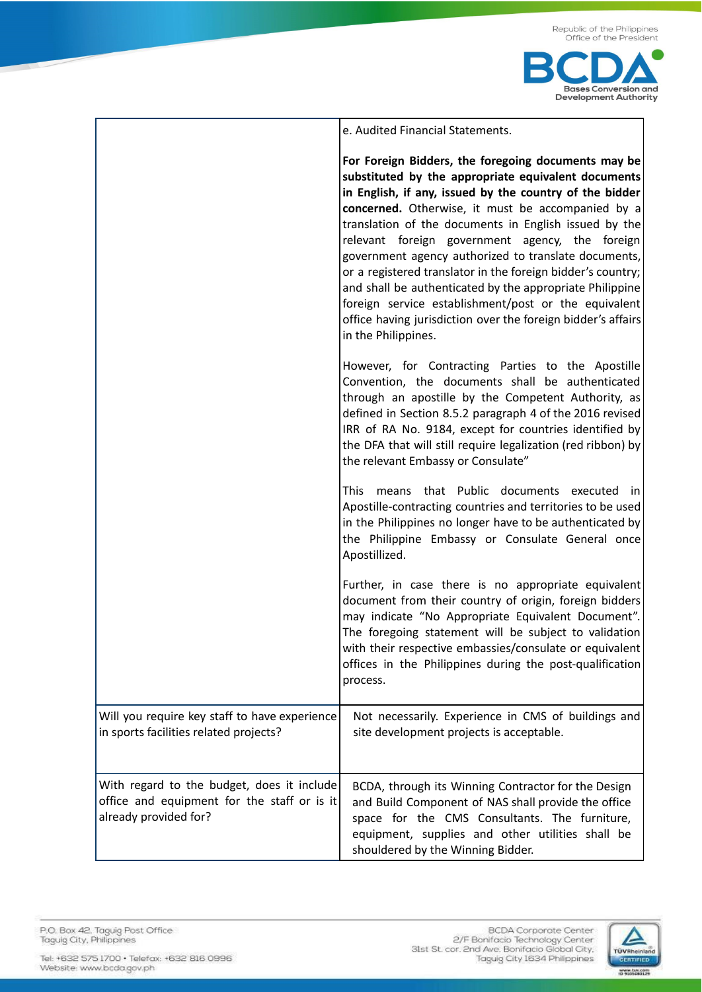

|                                                                                                                    | e. Audited Financial Statements.                                                                                                                                                                                                                                                                                                                                                                                                                                                                                                                                                                                                                                         |
|--------------------------------------------------------------------------------------------------------------------|--------------------------------------------------------------------------------------------------------------------------------------------------------------------------------------------------------------------------------------------------------------------------------------------------------------------------------------------------------------------------------------------------------------------------------------------------------------------------------------------------------------------------------------------------------------------------------------------------------------------------------------------------------------------------|
|                                                                                                                    | For Foreign Bidders, the foregoing documents may be<br>substituted by the appropriate equivalent documents<br>in English, if any, issued by the country of the bidder<br>concerned. Otherwise, it must be accompanied by a<br>translation of the documents in English issued by the<br>relevant foreign government agency, the foreign<br>government agency authorized to translate documents,<br>or a registered translator in the foreign bidder's country;<br>and shall be authenticated by the appropriate Philippine<br>foreign service establishment/post or the equivalent<br>office having jurisdiction over the foreign bidder's affairs<br>in the Philippines. |
|                                                                                                                    | However, for Contracting Parties to the Apostille<br>Convention, the documents shall be authenticated<br>through an apostille by the Competent Authority, as<br>defined in Section 8.5.2 paragraph 4 of the 2016 revised<br>IRR of RA No. 9184, except for countries identified by<br>the DFA that will still require legalization (red ribbon) by<br>the relevant Embassy or Consulate"                                                                                                                                                                                                                                                                                 |
|                                                                                                                    | This means that Public documents executed in<br>Apostille-contracting countries and territories to be used<br>in the Philippines no longer have to be authenticated by<br>the Philippine Embassy or Consulate General once<br>Apostillized.                                                                                                                                                                                                                                                                                                                                                                                                                              |
|                                                                                                                    | Further, in case there is no appropriate equivalent<br>document from their country of origin, foreign bidders<br>may indicate "No Appropriate Equivalent Document".<br>The foregoing statement will be subject to validation<br>with their respective embassies/consulate or equivalent<br>offices in the Philippines during the post-qualification<br>process.                                                                                                                                                                                                                                                                                                          |
| Will you require key staff to have experience<br>in sports facilities related projects?                            | Not necessarily. Experience in CMS of buildings and<br>site development projects is acceptable.                                                                                                                                                                                                                                                                                                                                                                                                                                                                                                                                                                          |
| With regard to the budget, does it include<br>office and equipment for the staff or is it<br>already provided for? | BCDA, through its Winning Contractor for the Design<br>and Build Component of NAS shall provide the office<br>space for the CMS Consultants. The furniture,<br>equipment, supplies and other utilities shall be<br>shouldered by the Winning Bidder.                                                                                                                                                                                                                                                                                                                                                                                                                     |

P.O. Box 42, Taguig Post Office<br>Taguig City, Philippines